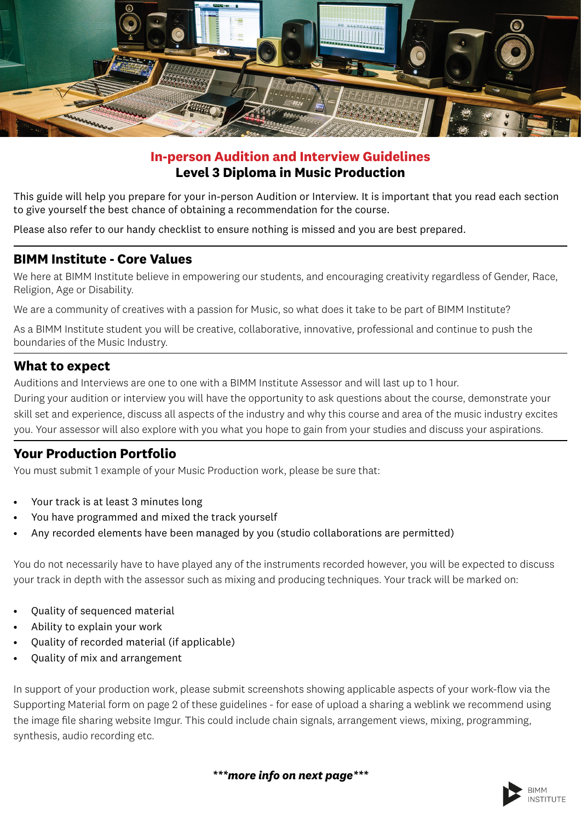

## **In-person Audition and Interview Guidelines Level 3 Diploma in Music Production**

This guide will help you prepare for your in-person Audition or Interview. It is important that you read each section to give yourself the best chance of obtaining a recommendation for the course.

Please also refer to our handy checklist to ensure nothing is missed and you are best prepared.

#### **BIMM Institute - Core Values**

We here at BIMM Institute believe in empowering our students, and encouraging creativity regardless of Gender, Race, Religion, Age or Disability.

We are a community of creatives with a passion for Music, so what does it take to be part of BIMM Institute?

As a BIMM Institute student you will be creative, collaborative, innovative, professional and continue to push the boundaries of the Music Industry.

#### **What to expect**

Auditions and Interviews are one to one with a BIMM Institute Assessor and will last up to 1 hour.

During your audition or interview you will have the opportunity to ask questions about the course, demonstrate your skill set and experience, discuss all aspects of the industry and why this course and area of the music industry excites you. Your assessor will also explore with you what you hope to gain from your studies and discuss your aspirations.

## **Your Production Portfolio**

You must submit 1 example of your Music Production work, please be sure that:

- Your track is at least 3 minutes long
- You have programmed and mixed the track yourself
- Any recorded elements have been managed by you (studio collaborations are permitted)

You do not necessarily have to have played any of the instruments recorded however, you will be expected to discuss your track in depth with the assessor such as mixing and producing techniques. Your track will be marked on:

- Quality of sequenced material
- Ability to explain your work
- Quality of recorded material (if applicable)
- Quality of mix and arrangement

In support of your production work, please submit screenshots showing applicable aspects of your work-flow via the Supporting Material form on page 2 of these guidelines - for ease of upload a sharing a weblink we recommend using the image file sharing website Imgur. This could include chain signals, arrangement views, mixing, programming, synthesis, audio recording etc.

*\*\*\*more info on next page\*\*\**